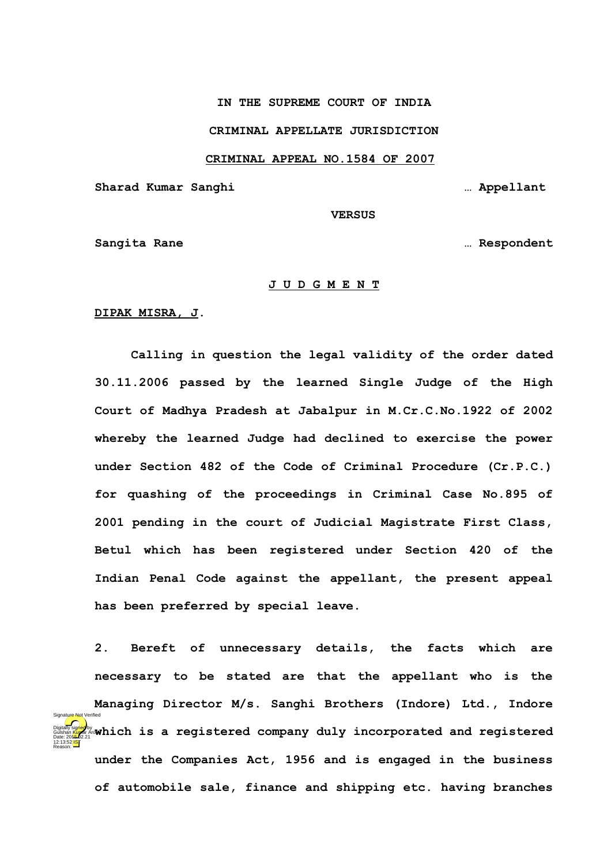# **IN THE SUPREME COURT OF INDIA**

### **CRIMINAL APPELLATE JURISDICTION**

#### **CRIMINAL APPEAL NO.1584 OF 2007**

**Sharad Kumar Sanghi … Appellant**

 **VERSUS**

**Sangita Rane … Respondent**

# **J U D G M E N T**

**DIPAK MISRA, J.**

**Calling in question the legal validity of the order dated 30.11.2006 passed by the learned Single Judge of the High Court of Madhya Pradesh at Jabalpur in M.Cr.C.No.1922 of 2002 whereby the learned Judge had declined to exercise the power under Section 482 of the Code of Criminal Procedure (Cr.P.C.) for quashing of the proceedings in Criminal Case No.895 of 2001 pending in the court of Judicial Magistrate First Class, Betul which has been registered under Section 420 of the Indian Penal Code against the appellant, the present appeal has been preferred by special leave.** 

**2. Bereft of unnecessary details, the facts which are necessary to be stated are that the appellant who is the Managing Director M/s. Sanghi Brothers (Indore) Ltd., Indore Digitally Signer** by a registered company duly incorporated and registered **under the Companies Act, 1956 and is engaged in the business of automobile sale, finance and shipping etc. having branches** Digitally signed by Date: 2015.02.21 12:13:52 IST Reason: Signature Not Verified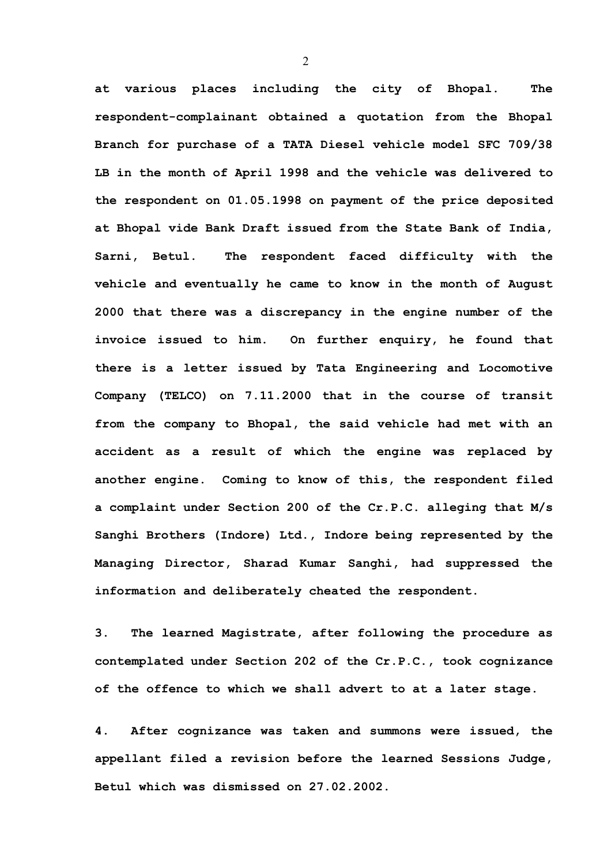**at various places including the city of Bhopal. The respondent-complainant obtained a quotation from the Bhopal Branch for purchase of a TATA Diesel vehicle model SFC 709/38 LB in the month of April 1998 and the vehicle was delivered to the respondent on 01.05.1998 on payment of the price deposited at Bhopal vide Bank Draft issued from the State Bank of India, Sarni, Betul. The respondent faced difficulty with the vehicle and eventually he came to know in the month of August 2000 that there was a discrepancy in the engine number of the invoice issued to him. On further enquiry, he found that there is a letter issued by Tata Engineering and Locomotive Company (TELCO) on 7.11.2000 that in the course of transit from the company to Bhopal, the said vehicle had met with an accident as a result of which the engine was replaced by another engine. Coming to know of this, the respondent filed a complaint under Section 200 of the Cr.P.C. alleging that M/s Sanghi Brothers (Indore) Ltd., Indore being represented by the Managing Director, Sharad Kumar Sanghi, had suppressed the information and deliberately cheated the respondent.**

**3. The learned Magistrate, after following the procedure as contemplated under Section 202 of the Cr.P.C., took cognizance of the offence to which we shall advert to at a later stage.**

**4. After cognizance was taken and summons were issued, the appellant filed a revision before the learned Sessions Judge, Betul which was dismissed on 27.02.2002.**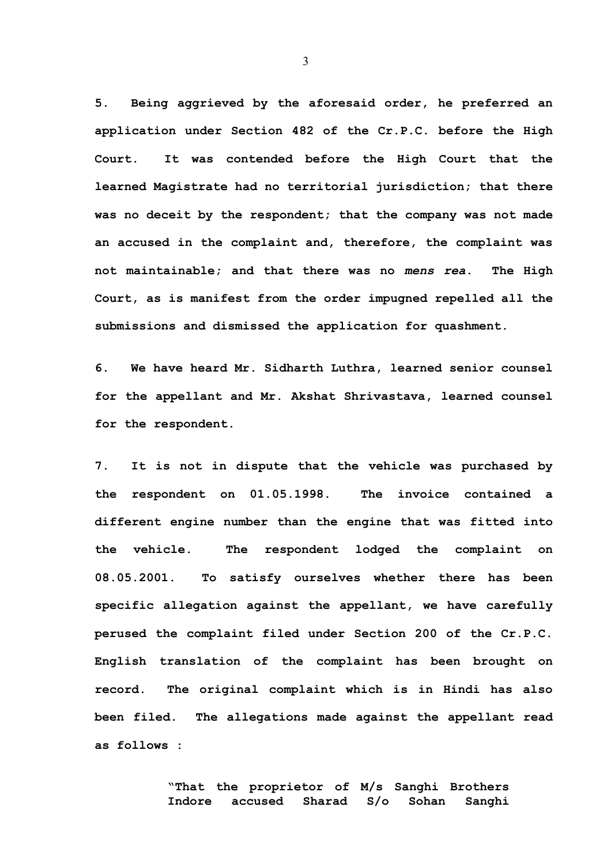**5. Being aggrieved by the aforesaid order, he preferred an application under Section 482 of the Cr.P.C. before the High Court. It was contended before the High Court that the learned Magistrate had no territorial jurisdiction; that there was no deceit by the respondent; that the company was not made an accused in the complaint and, therefore, the complaint was not maintainable; and that there was no** *mens rea***. The High Court, as is manifest from the order impugned repelled all the submissions and dismissed the application for quashment.** 

**6. We have heard Mr. Sidharth Luthra, learned senior counsel for the appellant and Mr. Akshat Shrivastava, learned counsel for the respondent.** 

**7. It is not in dispute that the vehicle was purchased by the respondent on 01.05.1998. The invoice contained a different engine number than the engine that was fitted into the vehicle. The respondent lodged the complaint on 08.05.2001. To satisfy ourselves whether there has been specific allegation against the appellant, we have carefully perused the complaint filed under Section 200 of the Cr.P.C. English translation of the complaint has been brought on record. The original complaint which is in Hindi has also been filed. The allegations made against the appellant read as follows :**

> **"That the proprietor of M/s Sanghi Brothers Indore accused Sharad S/o Sohan Sanghi**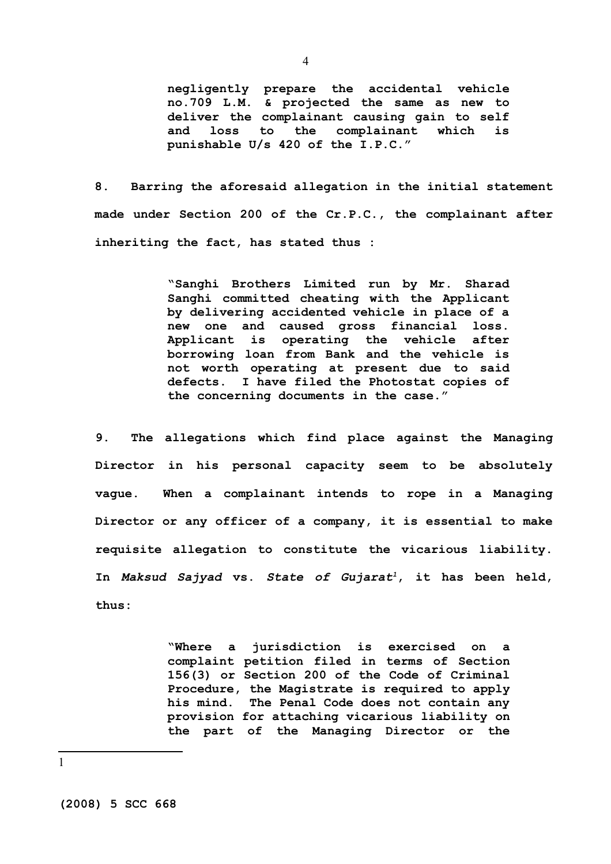**negligently prepare the accidental vehicle no.709 L.M. & projected the same as new to deliver the complainant causing gain to self and loss to the complainant which is punishable U/s 420 of the I.P.C."**

**8. Barring the aforesaid allegation in the initial statement made under Section 200 of the Cr.P.C., the complainant after inheriting the fact, has stated thus :**

> **"Sanghi Brothers Limited run by Mr. Sharad Sanghi committed cheating with the Applicant by delivering accidented vehicle in place of a new one and caused gross financial loss. Applicant is operating the vehicle after borrowing loan from Bank and the vehicle is not worth operating at present due to said defects. I have filed the Photostat copies of the concerning documents in the case."**

**9. The allegations which find place against the Managing Director in his personal capacity seem to be absolutely vague. When a complainant intends to rope in a Managing Director or any officer of a company, it is essential to make requisite allegation to constitute the vicarious liability. In** *Maksud Sajyad* **vs.** *State of Gujarat[1](#page-3-0)***, it has been held, thus:**

> **"Where a jurisdiction is exercised on a complaint petition filed in terms of Section 156(3) or Section 200 of the Code of Criminal Procedure, the Magistrate is required to apply his mind. The Penal Code does not contain any provision for attaching vicarious liability on the part of the Managing Director or the**

<span id="page-3-0"></span>1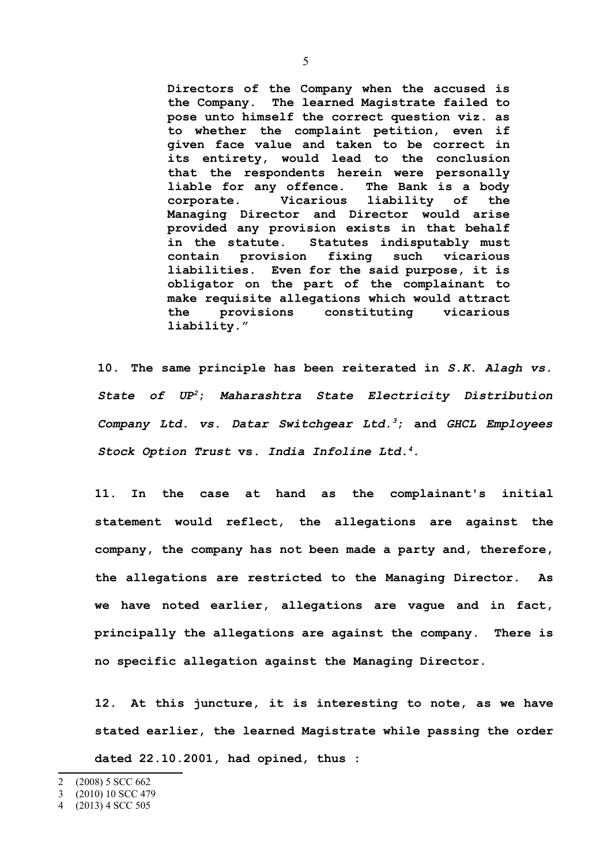**Directors of the Company when the accused is the Company. The learned Magistrate failed to pose unto himself the correct question viz. as to whether the complaint petition, even if given face value and taken to be correct in its entirety, would lead to the conclusion that the respondents herein were personally liable for any offence. The Bank is a body corporate. Vicarious liability of the Managing Director and Director would arise provided any provision exists in that behalf in the statute. Statutes indisputably must contain provision fixing such vicarious liabilities. Even for the said purpose, it is obligator on the part of the complainant to make requisite allegations which would attract the provisions constituting vicarious liability."**

**10. The same principle has been reiterated in** *S.K. Alagh vs. State of UP[2](#page-4-0)***;** *Maharashtra State Electricity Distribution Company Ltd. vs. Datar Switchgear Ltd.[3](#page-4-1)***; and** *GHCL Employees Stock Option Trust* **vs.** *India Infoline Ltd.[4](#page-4-2)***.** 

**11. In the case at hand as the complainant's initial statement would reflect, the allegations are against the company, the company has not been made a party and, therefore, the allegations are restricted to the Managing Director. As we have noted earlier, allegations are vague and in fact, principally the allegations are against the company. There is no specific allegation against the Managing Director.**

**12. At this juncture, it is interesting to note, as we have stated earlier, the learned Magistrate while passing the order dated 22.10.2001, had opined, thus :**

<span id="page-4-0"></span><sup>2</sup> (2008) 5 SCC 662

<span id="page-4-1"></span><sup>3</sup> (2010) 10 SCC 479

<span id="page-4-2"></span><sup>4</sup> (2013) 4 SCC 505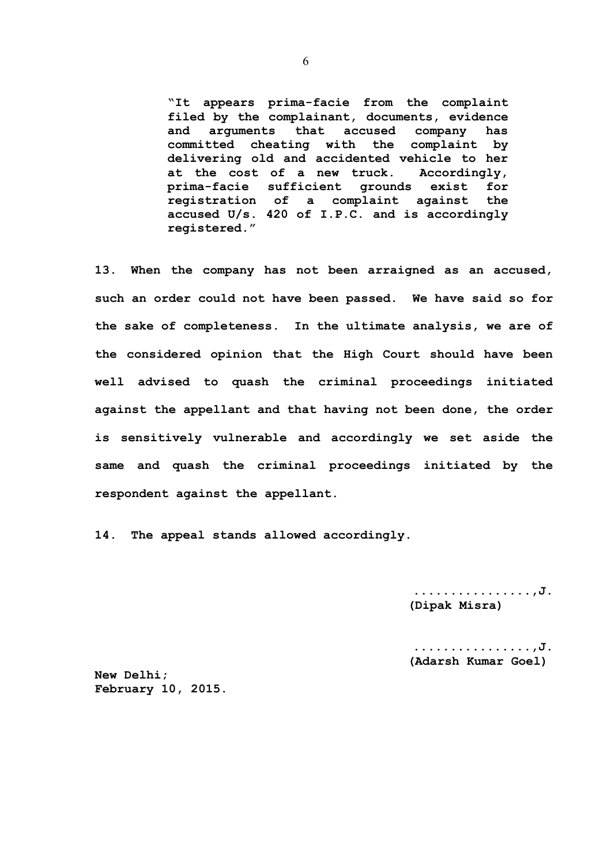**"It appears prima-facie from the complaint filed by the complainant, documents, evidence and arguments that accused company has committed cheating with the complaint by delivering old and accidented vehicle to her at the cost of a new truck. Accordingly, prima-facie sufficient grounds exist for registration of a complaint against the accused U/s. 420 of I.P.C. and is accordingly registered."**

**13. When the company has not been arraigned as an accused, such an order could not have been passed. We have said so for the sake of completeness. In the ultimate analysis, we are of the considered opinion that the High Court should have been well advised to quash the criminal proceedings initiated against the appellant and that having not been done, the order is sensitively vulnerable and accordingly we set aside the same and quash the criminal proceedings initiated by the respondent against the appellant.**

**14. The appeal stands allowed accordingly.** 

**................,J. (Dipak Misra)**

**................,J. (Adarsh Kumar Goel)**

**New Delhi; February 10, 2015.**